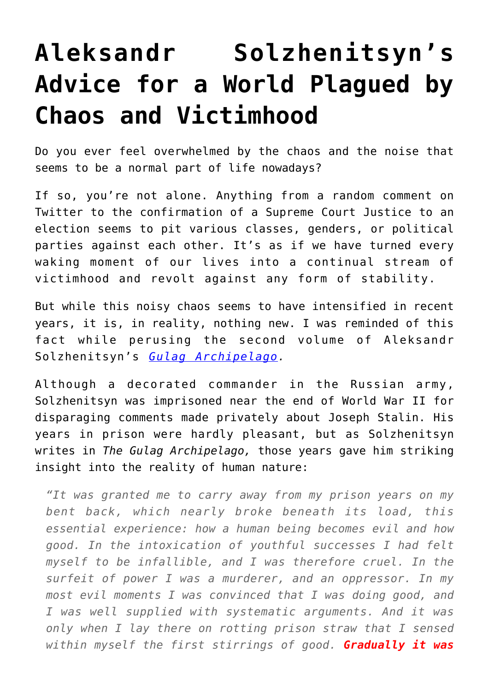## **[Aleksandr Solzhenitsyn's](https://intellectualtakeout.org/2018/10/aleksandr-solzhenitsyns-advice-for-a-world-plagued-by-chaos-and-victimhood/) [Advice for a World Plagued by](https://intellectualtakeout.org/2018/10/aleksandr-solzhenitsyns-advice-for-a-world-plagued-by-chaos-and-victimhood/) [Chaos and Victimhood](https://intellectualtakeout.org/2018/10/aleksandr-solzhenitsyns-advice-for-a-world-plagued-by-chaos-and-victimhood/)**

Do you ever feel overwhelmed by the chaos and the noise that seems to be a normal part of life nowadays?

If so, you're not alone. Anything from a random comment on Twitter to the confirmation of a Supreme Court Justice to an election seems to pit various classes, genders, or political parties against each other. It's as if we have turned every waking moment of our lives into a continual stream of victimhood and revolt against any form of stability.

But while this noisy chaos seems to have intensified in recent years, it is, in reality, nothing new. I was reminded of this fact while perusing the second volume of Aleksandr Solzhenitsyn's *[Gulag Archipelago.](https://www.amazon.com/gp/product/1843430851/ref=as_li_qf_asin_il_tl?ie=UTF8&tag=intelltakeo0d-20&creative=9325&linkCode=as2&creativeASIN=1843430851&linkId=572b9604273600aebb4ced952e9c7e91)*

Although a decorated commander in the Russian army, Solzhenitsyn was imprisoned near the end of World War II for disparaging comments made privately about Joseph Stalin. His years in prison were hardly pleasant, but as Solzhenitsyn writes in *The Gulag Archipelago,* those years gave him striking insight into the reality of human nature:

*"It was granted me to carry away from my prison years on my bent back, which nearly broke beneath its load, this essential experience: how a human being becomes evil and how good. In the intoxication of youthful successes I had felt myself to be infallible, and I was therefore cruel. In the surfeit of power I was a murderer, and an oppressor. In my most evil moments I was convinced that I was doing good, and I was well supplied with systematic arguments. And it was only when I lay there on rotting prison straw that I sensed within myself the first stirrings of good. Gradually it was*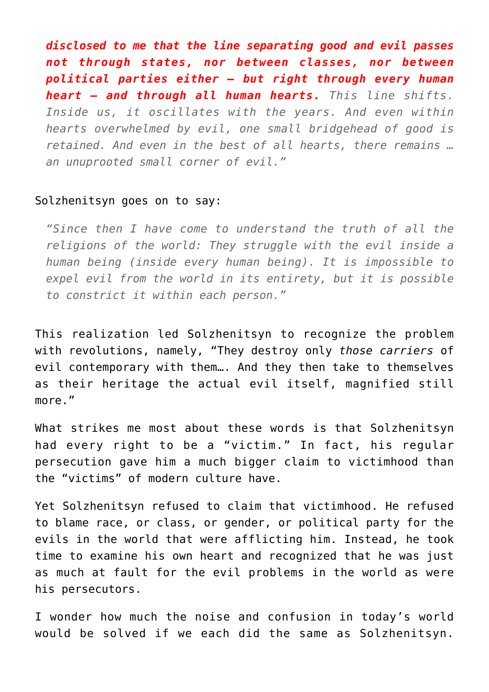*disclosed to me that the line separating good and evil passes not through states, nor between classes, nor between political parties either – but right through every human heart – and through all human hearts. This line shifts. Inside us, it oscillates with the years. And even within hearts overwhelmed by evil, one small bridgehead of good is retained. And even in the best of all hearts, there remains … an unuprooted small corner of evil."*

## Solzhenitsyn goes on to say:

*"Since then I have come to understand the truth of all the religions of the world: They struggle with the evil inside a human being (inside every human being). It is impossible to expel evil from the world in its entirety, but it is possible to constrict it within each person."*

This realization led Solzhenitsyn to recognize the problem with revolutions, namely, "They destroy only *those carriers* of evil contemporary with them…. And they then take to themselves as their heritage the actual evil itself, magnified still more."

What strikes me most about these words is that Solzhenitsyn had every right to be a "victim." In fact, his regular persecution gave him a much bigger claim to victimhood than the "victims" of modern culture have.

Yet Solzhenitsyn refused to claim that victimhood. He refused to blame race, or class, or gender, or political party for the evils in the world that were afflicting him. Instead, he took time to examine his own heart and recognized that he was just as much at fault for the evil problems in the world as were his persecutors.

I wonder how much the noise and confusion in today's world would be solved if we each did the same as Solzhenitsyn.